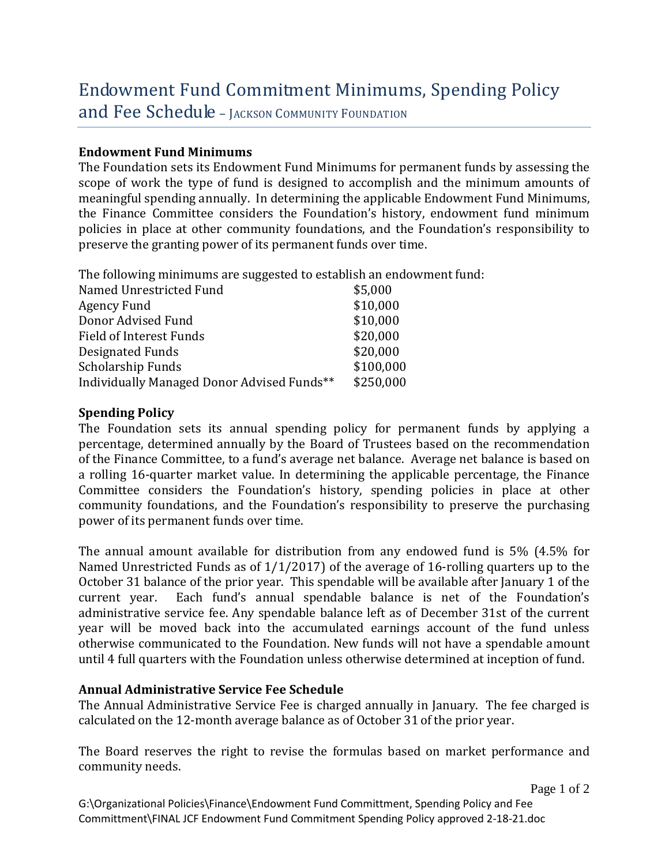# Endowment Fund Commitment Minimums, Spending Policy

and Fee Schedule - JACKSON COMMUNITY FOUNDATION

#### **Endowment Fund Minimums**

The Foundation sets its Endowment Fund Minimums for permanent funds by assessing the scope of work the type of fund is designed to accomplish and the minimum amounts of meaningful spending annually. In determining the applicable Endowment Fund Minimums, the Finance Committee considers the Foundation's history, endowment fund minimum policies in place at other community foundations, and the Foundation's responsibility to preserve the granting power of its permanent funds over time.

The following minimums are suggested to establish an endowment fund:

| Named Unrestricted Fund                    | \$5,000   |
|--------------------------------------------|-----------|
| Agency Fund                                | \$10,000  |
| Donor Advised Fund                         | \$10,000  |
| Field of Interest Funds                    | \$20,000  |
| Designated Funds                           | \$20,000  |
| Scholarship Funds                          | \$100,000 |
| Individually Managed Donor Advised Funds** | \$250,000 |

## **Spending Policy**

The Foundation sets its annual spending policy for permanent funds by applying a percentage, determined annually by the Board of Trustees based on the recommendation of the Finance Committee, to a fund's average net balance. Average net balance is based on a rolling 16-quarter market value. In determining the applicable percentage, the Finance Committee considers the Foundation's history, spending policies in place at other community foundations, and the Foundation's responsibility to preserve the purchasing power of its permanent funds over time.

The annual amount available for distribution from any endowed fund is 5% (4.5% for Named Unrestricted Funds as of 1/1/2017) of the average of 16-rolling quarters up to the October 31 balance of the prior year. This spendable will be available after January 1 of the current year. Each fund's annual spendable balance is net of the Foundation's Each fund's annual spendable balance is net of the Foundation's administrative service fee. Any spendable balance left as of December 31st of the current year will be moved back into the accumulated earnings account of the fund unless otherwise communicated to the Foundation. New funds will not have a spendable amount until 4 full quarters with the Foundation unless otherwise determined at inception of fund.

## **Annual Administrative Service Fee Schedule**

The Annual Administrative Service Fee is charged annually in January. The fee charged is calculated on the 12-month average balance as of October 31 of the prior year.

The Board reserves the right to revise the formulas based on market performance and community needs.